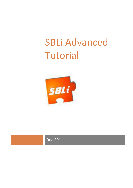# <span id="page-0-0"></span>SBLi Advanced Tutorial



# Dec 2011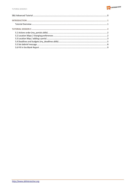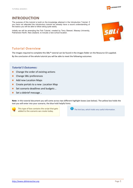

## <span id="page-2-0"></span>**INTRODUCTION**

The purpose of this tutorial is build on the knowledge attained in the Introduction Tutorial. If you have not attended the introductory tutorial but already have a sound understanding of the basics you will be able to follow along quite easily.

Initially we will be amending the Fish Tutorial, created by Terry Stewart, Massey University, Palmerston North, New Zealand, to include a new school location.



## <span id="page-2-1"></span>**Tutorial Overview**

The images required to complete this SBLi® tutorial can be found in the images folder on the Resource CD supplied. By the conclusion of the whole tutorial you will be able to meet the following outcomes:

#### *Tutorial 5 Outcomes:*

- **Change the order of existing actions**
- Change SBLi preferences
- Add new Location Maps
- Create portals to a new . Location Map
- Set scenario deadlines and budgets...
- $\blacksquare$  Set a debrief message ..

**Note**: in this tutorial document you will come across two different highlight boxes (see below). The yellow box holds the text you will enter into your scenario, the blue hold helpful hints.



This type of box contains the script that gets added to the scenario we create today.

The hint box, which holds very useful information.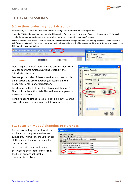

## <span id="page-3-0"></span>**TUTORIAL SESSION 5**

## <span id="page-3-1"></span>**5.1 Actions order (my\_portals.sblib)**

After creating a scenario you may have reason to change the order of some existing actions.

Open the SBLi Builder and load my\_portals.sblib which is found in the "2. Adv tute" folder on the resource CD. You will also find a completed portals.sblib for your reference in the "completed examples" folder.

This is a continuation of the "Goldfish example" so remember to change the scenario name (Properties Panel, Scenario Tab / Name) to Portals. This is very important as it helps you identify the file you are working on. This name appears in the Title Bar of Player and Builder.

| SBL Interactive: Builder (eCDF) 1.1.33 3 - Par | <b>Properties</b>              |  |
|------------------------------------------------|--------------------------------|--|
| File Scenario Settings View Utilities Help     | Scenario Properties<br>$\circ$ |  |
|                                                | enar<br>Name: Portals<br>ŏ     |  |

Now navigate to Alex's Bedroom and click on Alex. Here you can see three action questions created in the introductory tutorial.

To change the order of these questions you need to click on an action and use the Action (vertical) tab in the Properties Panel to alter its position.

Try clicking on the last question "Ask about fly spray". Now click on the actions tab. This action now appears in the name window.

To the right and circled in red is "Position in list". Use the arrows to move the action up and down as desired.

|                                | <b>Properties</b>                                       |
|--------------------------------|---------------------------------------------------------|
| Scenario                       | <b>Action Properties</b><br>Name<br>Ask about fly spray |
|                                | Monetary cost<br>0<br>Time cost<br>0<br>Is a final task |
| Item   Location   Location Map | Position in list<br>Prerequisites                       |
| Action                         | <b>III</b>                                              |

## <span id="page-3-2"></span>**5.2 Location Maps / changing preferences**

Before proceeding further I want you to check that the pre-requisites are turned off. This will ensure you can see all the existing locations when in the builder mode.

Go to the main menu and select Settings and then Preferences. From the list of options set Disable prerequisites to True.

| <b>Preferences</b>                         |         |  |
|--------------------------------------------|---------|--|
| <b>Application Settings</b>                |         |  |
| $\boxminus$ External Editor Configuration  |         |  |
| External HTML editor executable path       | notepad |  |
| $\boxminus$ Options                        |         |  |
| Ask about removing unused files on save    | True    |  |
| Automatic scenario backup                  | True    |  |
| Confirm scenario object delete             | True    |  |
| Disable and sociality continuous coming to | مملك    |  |
| Disable prerequisites                      | True    |  |
| Chairmann and                              |         |  |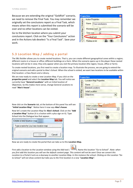

Because we are extending the original "Goldfish" scenario, we need to remove the Final Task. You may remember we originally set the conclusions report as a Final Task, which means when this report is submitted the scenario will be over and no other locations can be visited.

Go to the kitchen location where you submit your conclusions report. Click on the "Your Conclusions" action and in the Actions tab deselect "Is a Final Task". Save your work.

|              | roperties                                            |    |
|--------------|------------------------------------------------------|----|
| Scenario     | <b>Action Properties</b><br>Name<br>Your conclusions |    |
|              | Monetary cost                                        | 0. |
| Location Map | Time cost                                            | n  |
|              | Le a final task                                      |    |
|              | Position in list                                     |    |

## <span id="page-4-0"></span>**5.3 Location Map / adding a portal**

The SBLi Builder allows you to create nested locations. That is, you can create different geographical zones within a region; different rooms in a house or office; different buildings on a farm. When the scenario opens up in the player these nested locations will not be in view; they only appear when you visit the primary location (the region, house, office or farm).

To create nested locations, you first need to create a location map. To illustrate the process, we are going to extend the original scenario and add a portal to Alex's School. When the school is visited, we want two locations to be available within that location: a Class Room and a Library.

We are now ready to create a new Location Map. If you click on the **properties panel** and select the **Location Map** tab. You will notice we currently have "**General Locations**" with an Initial location of Objectives. So this makes more sense, change General Locations to read "**Alex's house**".



Now click on the **Scenario** tab, at the bottom of this panel You will see "**Initial Location Map**". Notice here it now says **Alex's house**.

Now let's create the Location Map for **Alex's School**. Click on the "**Add a Location Map**" button (it is a button with a plus sign on it). Type School into the Dialogue box that appear..

| Type a name for your new location map |        |
|---------------------------------------|--------|
|                                       |        |
|                                       | Cancel |

| Alex's house   |  |
|----------------|--|
| -Location Maps |  |
|                |  |

Now we are ready to create the portal that can take us to this **Location Map.**

First add a location to the Location window using the Add tool ( **Note:** ). Name this location "Go to School". *Note: when you first add this location you will see the default content page. This content will not be seen! Once we convert this*  Location to a Portal it acts as a doorway to another Location Map. In this instance the school. Clicking on the Location "Go *to School" will not show content but take you to the First location in a new "Location Map".*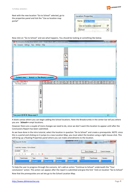

Next with the new location "Go to School" selected, go to the properties panel and tick the "Use as location map portal"

| <b>Location Properties</b> |  |
|----------------------------|--|
| Name: Go to School         |  |
| Use as location map portal |  |
| School                     |  |

Now click on "Go to School" and see what happens. You should be looking at something like below.

| File Scenario Settings View Utilities Help    |  |             |                                              |        |                           |  |    |  |
|-----------------------------------------------|--|-------------|----------------------------------------------|--------|---------------------------|--|----|--|
|                                               |  |             |                                              |        |                           |  |    |  |
|                                               |  |             |                                              |        | S<br>$\zeta_{\mathrm{p}}$ |  |    |  |
|                                               |  |             |                                              |        | S                         |  |    |  |
|                                               |  |             | Current view :: School >> The Empty Location |        |                           |  |    |  |
|                                               |  |             |                                              |        |                           |  |    |  |
| Possible Actions for >><br>The Empty Location |  |             |                                              | ц<br>в |                           |  | 02 |  |
|                                               |  | actions     |                                              |        |                           |  |    |  |
|                                               |  | ≕           |                                              |        |                           |  |    |  |
|                                               |  | collections |                                              |        |                           |  |    |  |

A blank canvas where you can begin adding the School locations. Note the Breadcrumbs in the center bar tell you where you are- **School>>** empt locations.

However there are a couple of more changes we need to do, since we don't want this location to appear until after the Conclusions Report has been submitted.

As we have done in the intro tutorial, select the location in question "Go to School" and create a prerequisite. NOTE: since this is a portal and clicking on it jumps to a new Location Map, you must select the location using a right mouse click. This will bring up a floating Properties panel where you can make amendments to the location.

| I want this location : Go to School |                          |                                 |      |           |        |                 |              |                |
|-------------------------------------|--------------------------|---------------------------------|------|-----------|--------|-----------------|--------------|----------------|
| available                           | $\bullet$ If             |                                 |      |           |        |                 | Save changes | Cancel changes |
|                                     | 1<br>31 L<br>Parentheses | of $1$           $\chi$<br>Type | Name | Condition | Action | Scored<br>Above | Parentheses  | Operator       |

To help the user to progress through the scenario, let's add an action "Continue to School" underneath the "Your conclusions" action. This action can appear after the report is submitted and give the hint "click on location "Go to School"

Now that the prerequisites are set lets go to the School Location Map.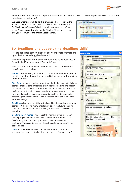

Add some new locations that will represent a class room and a Library, which can now be populated with content. But how do we get back home?

We need another portal. To do this, create another location at the School called "Back to Alex's House". Click on the Location tab and for "Back to Alex's House" check "Use a location map portal" and select Alex's House. Now click on the "Back to Alex's House" icon and you will return to the original Location map.

| Location Properties        |  |
|----------------------------|--|
| Name: Back to Alex's House |  |
| Use as location map portal |  |
| <b>Vex's house</b>         |  |

## <span id="page-6-0"></span>**5.4 Deadlines and budgets (my\_deadlines.sblib)**

For the deadlines section, please close your portals example and open the file named my\_deadlines.sblib.

The most important information with regard to using deadlines is found in the Properties panel "**Scenario**" tab.

The "Scenario" tab contains controls that alter properties related to a Scenario as a whole.

**Name:** the name of your scenario. This scenario name appears in the title bar when the application is in Builder mode and when it is in Player mode.

**Start Date:** Scenarios can have a start and finish, time and date. When a scenario that has time properties is first opened, the time and date in the scenario is set to the start time and date. If the scenario user then performs an action which has a time duration associated with it, the time and date will be increased appropriately. If the time and date reaches a predetermined time limit the scenario will end with a time expired message.

**Deadline:** Allows you to set the virtual deadline time and date for your scenario. A drop down menu enables you to set the future deadline date - you can then change the time if you wish within the Deadline entry box.

**Deadline safety margin:** You can set the number of minutes when a warning is given before the deadline is reached. The warning says "Performing this action puts you close to your deadline date, continue?" The scenario user can then choose to continue with the action or not.

**Note:** Start date allows you to set the start time and date for a scenario, this value is not related to real time, it is "scenario time".

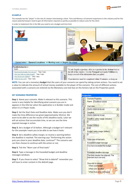

#### **EXAMPLE**

The example has the "player" in the role of a lawyer interviewing a client. Time and Money is of extreme importance in this industry and for this reason potential lawyers need to gain all information required as quickly as possible to reduce costs for the client.

In order to implement this in the SBLi you need to set a budget and time limit.



**NOTE:** You can set a monetary **budget** that the users of your scenario can spend by taking certain actions. You need to set a value to indicate the amount of virtual money available to the player of the scenario. The cost of different actions associated with a scenario are entered via the Monetary cost text box on the Actions tab on the Properties panel.

#### **SET SCENARIO PROPERTIES**

**Step 1**. Name your scenario. Make it relevant to this scenario. This name is very helpful for identifying what scenario you are in appears in the title bar when the application is in Builder mode and when it is in Player mode.

**Step 2**. Set the Start Date and Deadline date. Make sure you don't make the time difference too great (approximately 10mins). We want to be able to see the results of this deadline easily. Later we will set actions that accumulate time, so we can see the time expired message in action.

**Step 3.** Set a budget of 10 dollars. Although a budget isn't relevant for this example I want you to be able to see how it looks.

**Step 4**. Set a deadline safety margin, to receive a warning before the deadline is reached. The warning says "Performing this action puts you close to your deadline date, continue?" The scenario user can then choose to continue with the action or not.

**Step 5.** Tick the "Warn user of final tasks"

**Step 6**. Type a message in the Exceeded budget and deadline messages windows.

**Step 7**. If you chose to select "Show link to debrief" remember you will have to enter content in the debrief page.

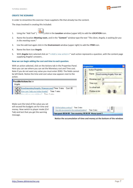

#### **CREATE THE SCENARIO**

In order to streamline this exercise I have supplied a file that already has the content.

The steps involved in creating this included:



1. Using the "Add Tool" ( ).click in the **Location** window (upper left) to add the **LOCATION** icon.

- 2. Name the location **Meeting room**, and in the "**Content**" window type the text "*The client, Angela, is waiting for you in the meeting room.*"
- 3. Use the add tool again click in the **Environment** window (upper right) to add the **ITEM** icon.
- 4. Name the Item icon **Angela**
- 5. With **Angela** item selected click on "<<Add a new action>>" each action represents a question, with the content page supplying Angela's answers. .

#### **Now we can begin adding the cost and time to each question.**

With an action selected, click on the Actions tab in the Properties Panel. Here you can see where you can set the Monetary cost and Time cost. Note if you do not want any value you must enter ZERO. The fields cannot be left blank. Notice the time and cost value now appears next to the action.

| <b>Possible Actions for <math>\rightarrow</math></b><br>Angela                                                                                                   |  |
|------------------------------------------------------------------------------------------------------------------------------------------------------------------|--|
| R X Good morning Angela. How are you? Time: 3 mins Cost: \$5<br>R X How can i help you today Angela? Time: 1 mins<br>and and search of Consideration and his use |  |

|              | <b>Properties</b>        |                              |
|--------------|--------------------------|------------------------------|
|              | <b>Action Properties</b> |                              |
| Scenario     | Name                     | Good morning Angela. How are |
|              | Monetary cost            | 0                            |
| Location Map | Time cost                | 0                            |
|              | Is a final task          |                              |
| S            | Position in list         |                              |

Make sure the total of the value you set will exceed the budgets set for time and money. Now switch to player mode (Ctrl Tab) and test that you get the warning message.

Did the bullying continue? Time: 2 mins gus How did you respond to the continued bullying? Time: 2 mins Time spent: 00:04:00 Time remaining: 00:06:00 Money spent: 5

**Notice the accumulation of time and money at the bottom of the window**.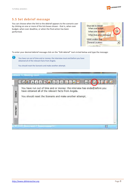6



## <span id="page-9-0"></span>**5.5 Set debrief message**

You can choose when the link to the debrief appears to the scenario user by clicking on one or more of the tick boxes shown - that is, when over budget, when over deadline, or when the final action has been performed.

| Show link to debrief:<br>When over budget |                             |  |
|-------------------------------------------|-----------------------------|--|
| When over deadline                        |                             |  |
|                                           | When final action performed |  |
| Initial Location Map                      |                             |  |
| <b>General Locations</b>                  |                             |  |

To enter your desired debrief message click on the "Edit debrief" tool circled below and type the message:

You have run out of time and or money: the interview must end before you have obtained all of the relevant facts from Angela.

You should reset the Scenario and make another attempt.

### ations >> Meating roum  $\begin{tabular}{|c|c|} \hline \text{A8} & \text{A9} \\ \hline \end{tabular}$ 11 14 12  $I$   $u$  $\equiv$ E e. 同义  $B$ œ You have run out of time and or money: the interview has ended before you have obtained all of the relevant facts from Angela. actions You should reset the Scenario and make another attempt. collections  $\Box$ 100-10-00 Muney ap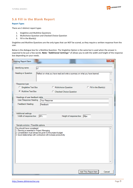

## <span id="page-10-0"></span>**5.6 Fill in the Blank Report**

#### **Report Types**

There are 3 distinct report types

- 1. Singleline and Multiline Questions
- 2. Multichoice Question and Checked Choice Question
- 3. Fill in the Blank(s)

Singleline and Mutiline Questions are the only types that can NOT be scored, as they require a written response from the user.

Below is the dialogue box for a Mutiline Question. The Singleline Option is the same but is used when the answer is expected to be just a few words. **Note:** *"Additional Settings"* of allows you to edit the width and height of the response box depending on your needs.

| Identifying name<br>q1<br><b>Heading or Question</b><br>Reflect on what you have read and write a summary on what you have leamed.<br>Response type<br><b>C</b> Singleline Text Box<br>C Multichoice Question<br>Fill in the Blank(s)<br><b>C</b> Multiline Text Box<br>C Checked Choice Question<br>Headings of user feedback table<br>User Response Heading<br>Your Response<br>Feedback Heading:<br>Feedback<br>Additional settings<br>Width of response box<br>85%<br>Height of response box<br>80 <sub>px</sub><br>Sample solution / Possible options<br>You should have considered:<br>1. Planning is essential in Project Managing<br>2. Consideration must always be given to the project budget<br>3. Good relationships with contractors will increase productivity<br>Add This Report Item<br>Cancel | <b>Adding Report Item</b> | $\mathbf{x}$ |
|-----------------------------------------------------------------------------------------------------------------------------------------------------------------------------------------------------------------------------------------------------------------------------------------------------------------------------------------------------------------------------------------------------------------------------------------------------------------------------------------------------------------------------------------------------------------------------------------------------------------------------------------------------------------------------------------------------------------------------------------------------------------------------------------------------------------|---------------------------|--------------|
|                                                                                                                                                                                                                                                                                                                                                                                                                                                                                                                                                                                                                                                                                                                                                                                                                 |                           |              |
|                                                                                                                                                                                                                                                                                                                                                                                                                                                                                                                                                                                                                                                                                                                                                                                                                 |                           |              |
|                                                                                                                                                                                                                                                                                                                                                                                                                                                                                                                                                                                                                                                                                                                                                                                                                 |                           |              |
|                                                                                                                                                                                                                                                                                                                                                                                                                                                                                                                                                                                                                                                                                                                                                                                                                 |                           |              |
|                                                                                                                                                                                                                                                                                                                                                                                                                                                                                                                                                                                                                                                                                                                                                                                                                 |                           |              |
|                                                                                                                                                                                                                                                                                                                                                                                                                                                                                                                                                                                                                                                                                                                                                                                                                 |                           |              |
|                                                                                                                                                                                                                                                                                                                                                                                                                                                                                                                                                                                                                                                                                                                                                                                                                 |                           |              |
|                                                                                                                                                                                                                                                                                                                                                                                                                                                                                                                                                                                                                                                                                                                                                                                                                 |                           |              |
|                                                                                                                                                                                                                                                                                                                                                                                                                                                                                                                                                                                                                                                                                                                                                                                                                 |                           |              |
|                                                                                                                                                                                                                                                                                                                                                                                                                                                                                                                                                                                                                                                                                                                                                                                                                 |                           |              |
|                                                                                                                                                                                                                                                                                                                                                                                                                                                                                                                                                                                                                                                                                                                                                                                                                 |                           |              |
|                                                                                                                                                                                                                                                                                                                                                                                                                                                                                                                                                                                                                                                                                                                                                                                                                 |                           |              |
|                                                                                                                                                                                                                                                                                                                                                                                                                                                                                                                                                                                                                                                                                                                                                                                                                 |                           |              |
|                                                                                                                                                                                                                                                                                                                                                                                                                                                                                                                                                                                                                                                                                                                                                                                                                 |                           |              |
|                                                                                                                                                                                                                                                                                                                                                                                                                                                                                                                                                                                                                                                                                                                                                                                                                 |                           |              |
|                                                                                                                                                                                                                                                                                                                                                                                                                                                                                                                                                                                                                                                                                                                                                                                                                 |                           |              |
|                                                                                                                                                                                                                                                                                                                                                                                                                                                                                                                                                                                                                                                                                                                                                                                                                 |                           |              |
|                                                                                                                                                                                                                                                                                                                                                                                                                                                                                                                                                                                                                                                                                                                                                                                                                 |                           |              |
|                                                                                                                                                                                                                                                                                                                                                                                                                                                                                                                                                                                                                                                                                                                                                                                                                 |                           |              |
|                                                                                                                                                                                                                                                                                                                                                                                                                                                                                                                                                                                                                                                                                                                                                                                                                 |                           |              |
|                                                                                                                                                                                                                                                                                                                                                                                                                                                                                                                                                                                                                                                                                                                                                                                                                 |                           |              |
|                                                                                                                                                                                                                                                                                                                                                                                                                                                                                                                                                                                                                                                                                                                                                                                                                 |                           |              |
|                                                                                                                                                                                                                                                                                                                                                                                                                                                                                                                                                                                                                                                                                                                                                                                                                 |                           |              |
|                                                                                                                                                                                                                                                                                                                                                                                                                                                                                                                                                                                                                                                                                                                                                                                                                 |                           |              |
|                                                                                                                                                                                                                                                                                                                                                                                                                                                                                                                                                                                                                                                                                                                                                                                                                 |                           |              |
|                                                                                                                                                                                                                                                                                                                                                                                                                                                                                                                                                                                                                                                                                                                                                                                                                 |                           |              |
|                                                                                                                                                                                                                                                                                                                                                                                                                                                                                                                                                                                                                                                                                                                                                                                                                 |                           |              |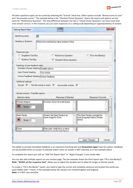

All other questions types can be scored by selecting the "Scored" check box. Other options include "Reveal scores to user" and "Accumulate scores". The example below is for "Checked Choice Question" where the layout and options are the same for "Multichoice Question". The only difference between the two is "Check Choice Question" can have more than once answer correct. In this instance you can score responses on a sliding scale depending on appropriateness of answer.

| Identifying name                                      | $\overline{a1}$                                                                                                                  |               |                                           |   |
|-------------------------------------------------------|----------------------------------------------------------------------------------------------------------------------------------|---------------|-------------------------------------------|---|
| <b>Heading or Question</b>                            | What is the most famous native animal to China                                                                                   |               |                                           |   |
|                                                       |                                                                                                                                  |               |                                           |   |
| Response type                                         |                                                                                                                                  |               |                                           |   |
| C Singleline Text Box                                 | Multichoice Question                                                                                                             |               | C Fill in the Blank(s)                    |   |
| C Multiline Text Box                                  | C Checked Choice Question                                                                                                        |               |                                           |   |
| Headings of user feedback table                       |                                                                                                                                  |               |                                           |   |
|                                                       | Possible Choices Heading Possible options                                                                                        |               |                                           |   |
| User Choice Heading:                                  | Your choice                                                                                                                      |               |                                           |   |
|                                                       |                                                                                                                                  |               |                                           |   |
| Choice Feedback Heading Choice Feedback               |                                                                                                                                  |               |                                           |   |
| Selection Items                                       | Scored $\overline{V}$ Reveal scores to users $\overline{V}$<br>Accumulate scores $\overline{\mathsf{v}}$<br>Response If Selected |               | Response if not sele                      |   |
| Sample solution / Possible options<br>Chinese dragons | Incorrect, this is not a real animal                                                                                             |               |                                           |   |
| Additional settings                                   |                                                                                                                                  |               |                                           |   |
| Score 0                                               |                                                                                                                                  |               |                                           | ≣ |
| Giant Panda                                           | Correct, the Giant Panda is an                                                                                                   | $\mathcal{L}$ | The Giant Panda is actually the           |   |
|                                                       | iconic image for China                                                                                                           |               | most recognised native Chinese<br>animal. |   |
| Score 3                                               |                                                                                                                                  |               |                                           |   |

The ability to provide immediate feedback is an important teaching tool and **all question types** have this option. Feedback can be provided when an answer IS selected and/or when an answer is NOT selected; as in the example above.

To complete the report just click on "Add This Report Item" or "Apply Changes" if you made edits.

You can also add multiple reports on one content page. The last example shows the third report type "Fill in the Blank(s)". **Note:** *"Width of the response box"* allows you to adjust the window size to allow for longer or shorter words.

To create a "Fill in the Blanks" report, you need to type the correct and complete sentence and bracket the words you want hidden with **~** marks. In the example below the answers are United Kingdom and England. **Note:** it is NOT case sensitive.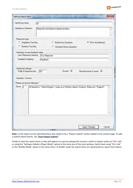

| Identifying name                             | q <sub>2</sub> |                                                                                            |                                        |        |
|----------------------------------------------|----------------|--------------------------------------------------------------------------------------------|----------------------------------------|--------|
| <b>Heading or Question</b>                   |                | Please fill in the blanks in sentence below.                                               |                                        |        |
|                                              |                |                                                                                            |                                        |        |
| Response type                                |                |                                                                                            |                                        |        |
| C Singleline Text Box                        |                | Multichoice Question                                                                       | Fill in the Blank(s)                   |        |
| C Multiline Text Box                         |                | C Checked Choice Question                                                                  |                                        |        |
| Headings of user feedback table              |                |                                                                                            |                                        |        |
| User Response Heading                        | Your Response  |                                                                                            |                                        |        |
| Feedback Heading:                            | Feedback       |                                                                                            |                                        |        |
|                                              |                |                                                                                            |                                        |        |
|                                              |                |                                                                                            |                                        |        |
| Additional settings<br>Width of response box | 20%            | Scored IV                                                                                  | Reveal scores to users $\triangledown$ |        |
|                                              |                |                                                                                            |                                        |        |
| Question / Answer                            |                |                                                                                            |                                        |        |
| Please put answer between ~                  |                |                                                                                            |                                        |        |
| Score 2                                      |                |                                                                                            |                                        |        |
|                                              |                | UK stands for ~United Kingdom~ made up of Northern Ireland, Scotland, Wales and ~England~. |                                        |        |
|                                              |                |                                                                                            |                                        |        |
|                                              |                |                                                                                            |                                        |        |
|                                              |                |                                                                                            |                                        |        |
|                                              |                |                                                                                            |                                        |        |
|                                              |                |                                                                                            |                                        |        |
|                                              |                |                                                                                            |                                        |        |
|                                              |                |                                                                                            |                                        |        |
|                                              |                |                                                                                            |                                        |        |
|                                              |                |                                                                                            |                                        |        |
|                                              |                |                                                                                            |                                        |        |
|                                              |                |                                                                                            | Apply Changes                          | Cancel |

**Note:** so the report can be submitted there also needs to be a "Report Submit" button added to the content page. To add a submit report button, see *["Insert Report Submit"](file://Viper/cal$/current%20projects/SBLi/Software/Help/sbli_builder_help/v2/pages/cont_ed.html%23insert_rpt)*.

Finally to view the report items as they will appear to a person playing the scenario, switch to player mode via "Ctrl+ tab" or using the "Settings>>Mode>>Player Mode" option in the menu bar of the main window. Switch back using "Ctrl+ tab" or the "Builder Mode" option in the same menu. In builder mode the report items are represented as report item tokens.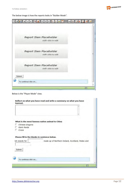

The below image is how the reports looks in "Builder Mode".

| $\frac{ \mathbf{A3} }{\sigma}$<br>星星<br>昌<br>G2       | š         |
|-------------------------------------------------------|-----------|
|                                                       |           |
| <b>Report Item Placeholder</b><br>shift-click to edit |           |
| <b>Report Item Placeholder</b><br>shift-click to edit | Ξ         |
| <b>Report Item Placeholder</b><br>shift-click to edit |           |
| Submit                                                |           |
| To continue click on                                  | $\square$ |

Below is the "Player Mode" view.

|                 | What is the most famous native animal to China |                                                  |
|-----------------|------------------------------------------------|--------------------------------------------------|
| Chinese dragons |                                                |                                                  |
| Giant Panda     |                                                |                                                  |
|                 |                                                |                                                  |
| Crane           |                                                |                                                  |
| UK stands for   | Please fill in the blanks in sentence below.   | made up of Northern Ireland, Scotland, Wales and |
|                 |                                                |                                                  |
| Submit          |                                                |                                                  |
|                 |                                                |                                                  |